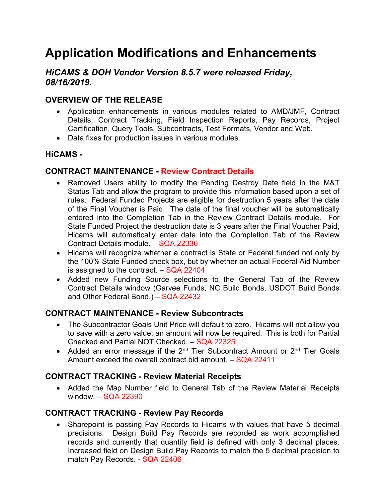# **Application Modifications and Enhancements**

## *HiCAMS & DOH Vendor Version 8.5.7 were released Friday, 08/16/2019.*

# **OVERVIEW OF THE RELEASE**

- Application enhancements in various modules related to AMD/JMF, Contract Details, Contract Tracking, Field Inspection Reports, Pay Records, Project Certification, Query Tools, Subcontracts, Test Formats, Vendor and Web.
- Data fixes for production issues in various modules

## **HiCAMS -**

#### **CONTRACT MAINTENANCE - Review Contract Details**

- Removed Users ability to modify the Pending Destroy Date field in the M&T Status Tab and allow the program to provide this information based upon a set of rules. Federal Funded Projects are eligible for destruction 5 years after the date of the Final Voucher is Paid. The date of the final voucher will be automatically entered into the Completion Tab in the Review Contract Details module. For State Funded Project the destruction date is 3 years after the Final Voucher Paid, Hicams will automatically enter date into the Completion Tab of the Review Contract Details module. – SQA 22336
- Hicams will recognize whether a contract is State or Federal funded not only by the 100% State Funded check box, but by whether an actual Federal Aid Number is assigned to the contract.  $-$  SQA 22404
- Added new Funding Source selections to the General Tab of the Review Contract Details window (Garvee Funds, NC Build Bonds, USDOT Build Bonds and Other Federal Bond.) – SQA 22432

## **CONTRACT MAINTENANCE - Review Subcontracts**

- The Subcontractor Goals Unit Price will default to zero. Hicams will not allow you to save with a zero value; an amount will now be required. This is both for Partial Checked and Partial NOT Checked. – SQA 22325
- Added an error message if the  $2^{nd}$  Tier Subcontract Amount or  $2^{nd}$  Tier Goals Amount exceed the overall contract bid amount. – SQA 22411

## **CONTRACT TRACKING - Review Material Receipts**

• Added the Map Number field to General Tab of the Review Material Receipts window. – SQA 22390

#### **CONTRACT TRACKING - Review Pay Records**

• Sharepoint is passing Pay Records to Hicams with values that have 5 decimal precisions. Design Build Pay Records are recorded as work accomplished records and currently that quantity field is defined with only 3 decimal places. Increased field on Design Build Pay Records to match the 5 decimal precision to match Pay Records. - SQA 22406